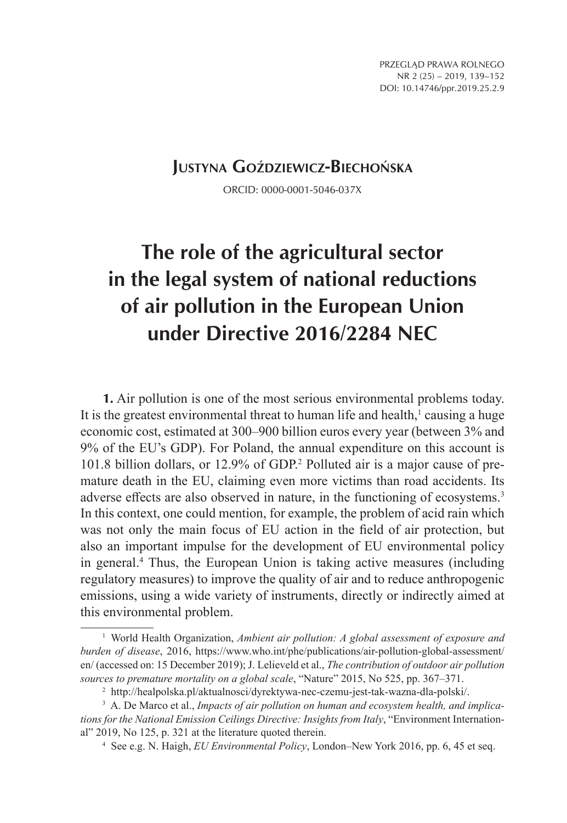# **Justyna Goździewicz-Biechońska**

ORCID: 0000-0001-5046-037X

# **The role of the agricultural sector in the legal system of national reductions of air pollution in the European Union under Directive 2016/2284 NEC**

**1.** Air pollution is one of the most serious environmental problems today. It is the greatest environmental threat to human life and health, $\frac{1}{2}$  causing a huge economic cost, estimated at 300–900 billion euros every year (between 3% and 9% of the EU's GDP). For Poland, the annual expenditure on this account is 101.8 billion dollars, or 12.9% of GDP.2 Polluted air is a major cause of premature death in the EU, claiming even more victims than road accidents. Its adverse effects are also observed in nature, in the functioning of ecosystems.<sup>3</sup> In this context, one could mention, for example, the problem of acid rain which was not only the main focus of EU action in the field of air protection, but also an important impulse for the development of EU environmental policy in general.4 Thus, the European Union is taking active measures (including regulatory measures) to improve the quality of air and to reduce anthropogenic emissions, using a wide variety of instruments, directly or indirectly aimed at this environmental problem.

<sup>&</sup>lt;sup>1</sup> World Health Organization, Ambient air pollution: A global assessment of exposure and *burden of disease*, 2016, https://www.who.int/phe/publications/air-pollution-global-assessment/ en/ (accessed on: 15 December 2019); J. Lelieveld et al., *The contribution of outdoor air pollution sources to premature mortality on a global scale*, "Nature" 2015, No 525, pp. 367–371.

<sup>2</sup> http://healpolska.pl/aktualnosci/dyrektywa-nec-czemu-jest-tak-wazna-dla-polski/.

<sup>3</sup> A. De Marco et al., *Impacts of air pollution on human and ecosystem health, and implications for the National Emission Ceilings Directive: Insights from Italy*, "Environment International" 2019, No 125, p. 321 at the literature quoted therein.

<sup>4</sup> See e.g. N. Haigh, *EU Environmental Policy*, London–New York 2016, pp. 6, 45 et seq.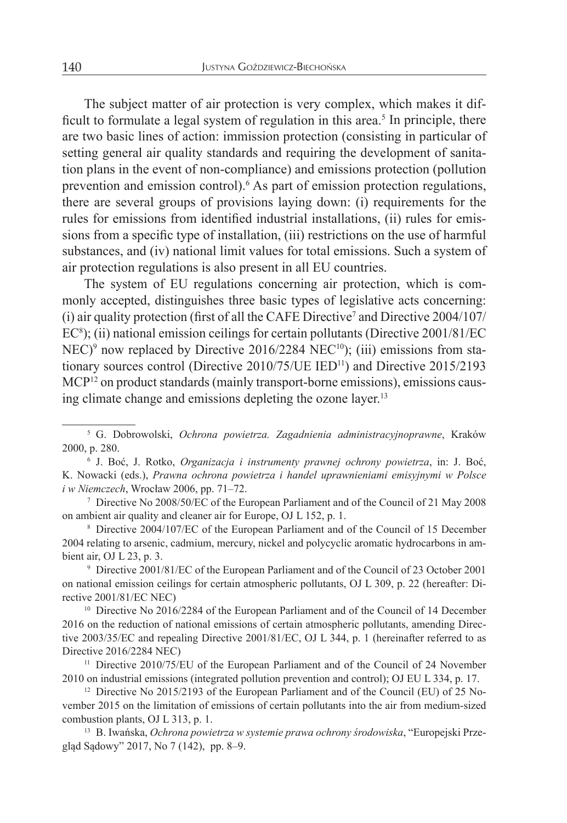The subject matter of air protection is very complex, which makes it difficult to formulate a legal system of regulation in this area.<sup>5</sup> In principle, there are two basic lines of action: immission protection (consisting in particular of setting general air quality standards and requiring the development of sanitation plans in the event of non-compliance) and emissions protection (pollution prevention and emission control).<sup>6</sup> As part of emission protection regulations, there are several groups of provisions laying down: (i) requirements for the rules for emissions from identified industrial installations, (ii) rules for emissions from a specific type of installation, (iii) restrictions on the use of harmful substances, and (iv) national limit values for total emissions. Such a system of air protection regulations is also present in all EU countries.

The system of EU regulations concerning air protection, which is commonly accepted, distinguishes three basic types of legislative acts concerning: (i) air quality protection (first of all the CAFE Directive<sup>7</sup> and Directive  $2004/107/$ EC<sup>8</sup>); (ii) national emission ceilings for certain pollutants (Directive 2001/81/EC  $NEC$ <sup>9</sup> now replaced by Directive 2016/2284 NEC<sup>10</sup>); (iii) emissions from stationary sources control (Directive 2010/75/UE IED<sup>11</sup>) and Directive 2015/2193 MCP12 on product standards (mainly transport-borne emissions), emissions causing climate change and emissions depleting the ozone layer.<sup>13</sup>

<sup>9</sup> Directive 2001/81/EC of the European Parliament and of the Council of 23 October 2001 on national emission ceilings for certain atmospheric pollutants, OJ L 309, p. 22 (hereafter: Directive 2001/81/EC NEC)

<sup>10</sup> Directive No 2016/2284 of the European Parliament and of the Council of 14 December 2016 on the reduction of national emissions of certain atmospheric pollutants, amending Directive 2003/35/EC and repealing Directive 2001/81/EC, OJ L 344, p. 1 (hereinafter referred to as Directive 2016/2284 NEC)

<sup>11</sup> Directive 2010/75/EU of the European Parliament and of the Council of 24 November 2010 on industrial emissions (integrated pollution prevention and control); OJ EU L 334, p. 17.

<sup>12</sup> Directive No 2015/2193 of the European Parliament and of the Council (EU) of 25 November 2015 on the limitation of emissions of certain pollutants into the air from medium-sized combustion plants, OJ L 313, p. 1.

<sup>13</sup> B. Iwańska, *Ochrona powietrza w systemie prawa ochrony środowiska*, "Europejski Przegląd Sądowy" 2017, No 7 (142), pp. 8–9.

<sup>5</sup> G. Dobrowolski, *Ochrona powietrza. Zagadnienia administracyjnoprawne*, Kraków 2000, p. 280.

<sup>6</sup> J. Boć, J. Rotko, *Organizacja i instrumenty prawnej ochrony powietrza*, in: J. Boć, K. Nowacki (eds.), *Prawna ochrona powietrza i handel uprawnieniami emisyjnymi w Polsce i w Niemczech*, Wrocław 2006, pp. 71–72.

<sup>7</sup> Directive No 2008/50/EC of the European Parliament and of the Council of 21 May 2008 on ambient air quality and cleaner air for Europe, OJ L 152, p. 1.

<sup>8</sup> Directive 2004/107/EC of the European Parliament and of the Council of 15 December 2004 relating to arsenic, cadmium, mercury, nickel and polycyclic aromatic hydrocarbons in ambient air, OJ L 23, p. 3.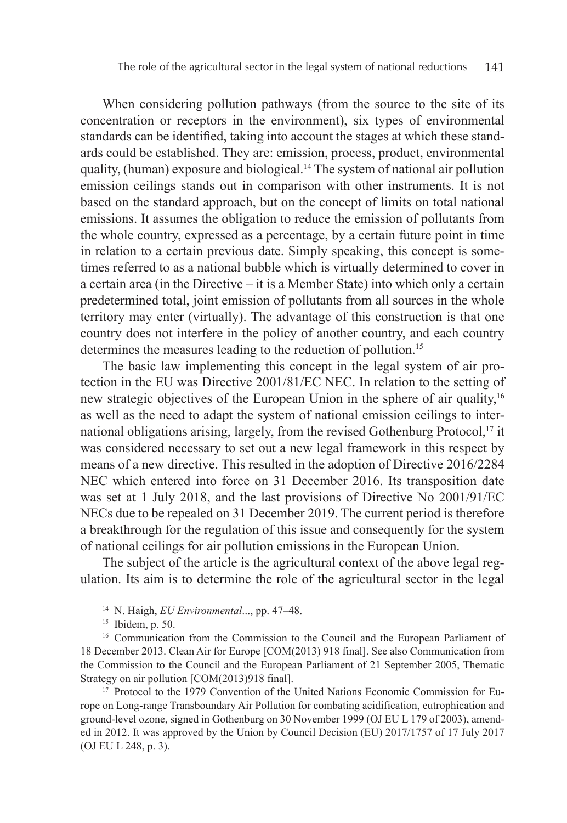When considering pollution pathways (from the source to the site of its concentration or receptors in the environment), six types of environmental standards can be identified, taking into account the stages at which these standards could be established. They are: emission, process, product, environmental quality, (human) exposure and biological.14 The system of national air pollution emission ceilings stands out in comparison with other instruments. It is not based on the standard approach, but on the concept of limits on total national emissions. It assumes the obligation to reduce the emission of pollutants from the whole country, expressed as a percentage, by a certain future point in time in relation to a certain previous date. Simply speaking, this concept is sometimes referred to as a national bubble which is virtually determined to cover in a certain area (in the Directive – it is a Member State) into which only a certain predetermined total, joint emission of pollutants from all sources in the whole territory may enter (virtually). The advantage of this construction is that one country does not interfere in the policy of another country, and each country determines the measures leading to the reduction of pollution.<sup>15</sup>

The basic law implementing this concept in the legal system of air protection in the EU was Directive 2001/81/EC NEC. In relation to the setting of new strategic objectives of the European Union in the sphere of air quality,<sup>16</sup> as well as the need to adapt the system of national emission ceilings to international obligations arising, largely, from the revised Gothenburg Protocol,<sup>17</sup> it was considered necessary to set out a new legal framework in this respect by means of a new directive. This resulted in the adoption of Directive 2016/2284 NEC which entered into force on 31 December 2016. Its transposition date was set at 1 July 2018, and the last provisions of Directive No 2001/91/EC NECs due to be repealed on 31 December 2019. The current period is therefore a breakthrough for the regulation of this issue and consequently for the system of national ceilings for air pollution emissions in the European Union.

The subject of the article is the agricultural context of the above legal regulation. Its aim is to determine the role of the agricultural sector in the legal

<sup>14</sup> N. Haigh, *EU Environmental*..., pp. 47–48.

<sup>&</sup>lt;sup>15</sup> Ibidem, p. 50.

<sup>&</sup>lt;sup>16</sup> Communication from the Commission to the Council and the European Parliament of 18 December 2013. Clean Air for Europe [COM(2013) 918 final]. See also Communication from the Commission to the Council and the European Parliament of 21 September 2005, Thematic Strategy on air pollution [COM(2013)918 final].

<sup>&</sup>lt;sup>17</sup> Protocol to the 1979 Convention of the United Nations Economic Commission for Europe on Long-range Transboundary Air Pollution for combating acidification, eutrophication and ground-level ozone, signed in Gothenburg on 30 November 1999 (OJ EU L 179 of 2003), amended in 2012. It was approved by the Union by Council Decision (EU) 2017/1757 of 17 July 2017 (OJ EU L 248, p. 3).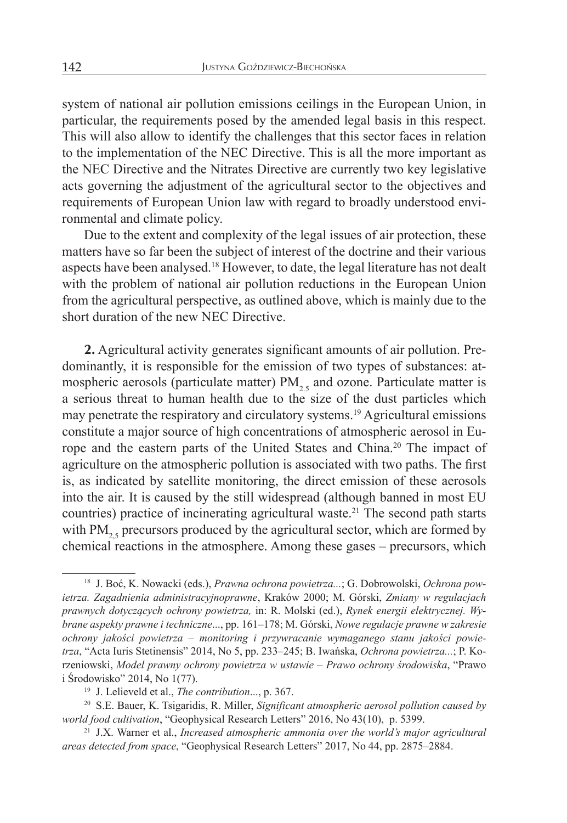system of national air pollution emissions ceilings in the European Union, in particular, the requirements posed by the amended legal basis in this respect. This will also allow to identify the challenges that this sector faces in relation to the implementation of the NEC Directive. This is all the more important as the NEC Directive and the Nitrates Directive are currently two key legislative acts governing the adjustment of the agricultural sector to the objectives and requirements of European Union law with regard to broadly understood environmental and climate policy.

Due to the extent and complexity of the legal issues of air protection, these matters have so far been the subject of interest of the doctrine and their various aspects have been analysed.18 However, to date, the legal literature has not dealt with the problem of national air pollution reductions in the European Union from the agricultural perspective, as outlined above, which is mainly due to the short duration of the new NEC Directive.

**2.** Agricultural activity generates significant amounts of air pollution. Predominantly, it is responsible for the emission of two types of substances: atmospheric aerosols (particulate matter)  $PM<sub>2.5</sub>$  and ozone. Particulate matter is a serious threat to human health due to the size of the dust particles which may penetrate the respiratory and circulatory systems.19 Agricultural emissions constitute a major source of high concentrations of atmospheric aerosol in Europe and the eastern parts of the United States and China.20 The impact of agriculture on the atmospheric pollution is associated with two paths. The first is, as indicated by satellite monitoring, the direct emission of these aerosols into the air. It is caused by the still widespread (although banned in most EU countries) practice of incinerating agricultural waste.<sup>21</sup> The second path starts with  $PM_{25}$  precursors produced by the agricultural sector, which are formed by chemical reactions in the atmosphere. Among these gases – precursors, which

<sup>18</sup> J. Boć, K. Nowacki (eds.), *Prawna ochrona powietrza...*; G. Dobrowolski, *Ochrona powietrza. Zagadnienia administracyjnoprawne*, Kraków 2000; M. Górski, *Zmiany w regulacjach prawnych dotyczących ochrony powietrza,* in: R. Molski (ed.), *Rynek energii elektrycznej. Wybrane aspekty prawne i techniczne*..., pp. 161–178; M. Górski, *Nowe regulacje prawne w zakresie ochrony jakości powietrza – monitoring i przywracanie wymaganego stanu jakości powietrza*, "Acta Iuris Stetinensis" 2014, No 5, pp. 233–245; B. Iwańska, *Ochrona powietrza...*; P. Korzeniowski, *Model prawny ochrony powietrza w ustawie – Prawo ochrony środowiska*, "Prawo i Środowisko" 2014, No 1(77).

<sup>19</sup> J. Lelieveld et al., *The contribution*..., p. 367.

<sup>20</sup> S.E. Bauer, K. Tsigaridis, R. Miller, *Significant atmospheric aerosol pollution caused by world food cultivation*, "Geophysical Research Letters" 2016, No 43(10), p. 5399.

<sup>21</sup> J.X. Warner et al., *Increased atmospheric ammonia over the world's major agricultural areas detected from space*, "Geophysical Research Letters" 2017, No 44, pp. 2875–2884.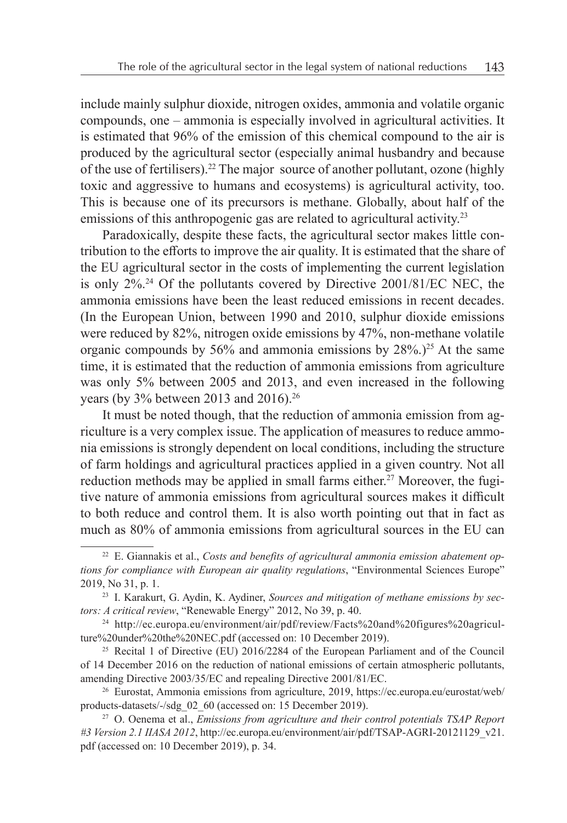include mainly sulphur dioxide, nitrogen oxides, ammonia and volatile organic compounds, one – ammonia is especially involved in agricultural activities. It is estimated that 96% of the emission of this chemical compound to the air is produced by the agricultural sector (especially animal husbandry and because of the use of fertilisers).22 The major source of another pollutant, ozone (highly toxic and aggressive to humans and ecosystems) is agricultural activity, too. This is because one of its precursors is methane. Globally, about half of the emissions of this anthropogenic gas are related to agricultural activity.<sup>23</sup>

Paradoxically, despite these facts, the agricultural sector makes little contribution to the efforts to improve the air quality. It is estimated that the share of the EU agricultural sector in the costs of implementing the current legislation is only 2%.24 Of the pollutants covered by Directive 2001/81/EC NEC, the ammonia emissions have been the least reduced emissions in recent decades. (In the European Union, between 1990 and 2010, sulphur dioxide emissions were reduced by 82%, nitrogen oxide emissions by 47%, non-methane volatile organic compounds by 56% and ammonia emissions by  $28\%$ .)<sup>25</sup> At the same time, it is estimated that the reduction of ammonia emissions from agriculture was only 5% between 2005 and 2013, and even increased in the following years (by 3% between 2013 and 2016).26

It must be noted though, that the reduction of ammonia emission from agriculture is a very complex issue. The application of measures to reduce ammonia emissions is strongly dependent on local conditions, including the structure of farm holdings and agricultural practices applied in a given country. Not all reduction methods may be applied in small farms either.<sup>27</sup> Moreover, the fugitive nature of ammonia emissions from agricultural sources makes it difficult to both reduce and control them. It is also worth pointing out that in fact as much as 80% of ammonia emissions from agricultural sources in the EU can

<sup>22</sup> E. Giannakis et al., *Costs and benefits of agricultural ammonia emission abatement options for compliance with European air quality regulations*, "Environmental Sciences Europe" 2019, No 31, p. 1.

<sup>23</sup> I. Karakurt, G. Aydin, K. Aydiner, *Sources and mitigation of methane emissions by sectors: A critical review*, "Renewable Energy" 2012, No 39, p. 40.

<sup>&</sup>lt;sup>24</sup> http://ec.europa.eu/environment/air/pdf/review/Facts%20and%20figures%20agriculture%20under%20the%20NEC.pdf (accessed on: 10 December 2019).

<sup>&</sup>lt;sup>25</sup> Recital 1 of Directive (EU) 2016/2284 of the European Parliament and of the Council of 14 December 2016 on the reduction of national emissions of certain atmospheric pollutants, amending Directive 2003/35/EC and repealing Directive 2001/81/EC.

<sup>&</sup>lt;sup>26</sup> Eurostat, Ammonia emissions from agriculture, 2019, https://ec.europa.eu/eurostat/web/ products-datasets/-/sdg\_02\_60 (accessed on: 15 December 2019).

<sup>27</sup> O. Oenema et al., *Emissions from agriculture and their control potentials TSAP Report #3 Version 2.1 IIASA 2012*, http://ec.europa.eu/environment/air/pdf/TSAP-AGRI-20121129\_v21. pdf (accessed on: 10 December 2019), p. 34.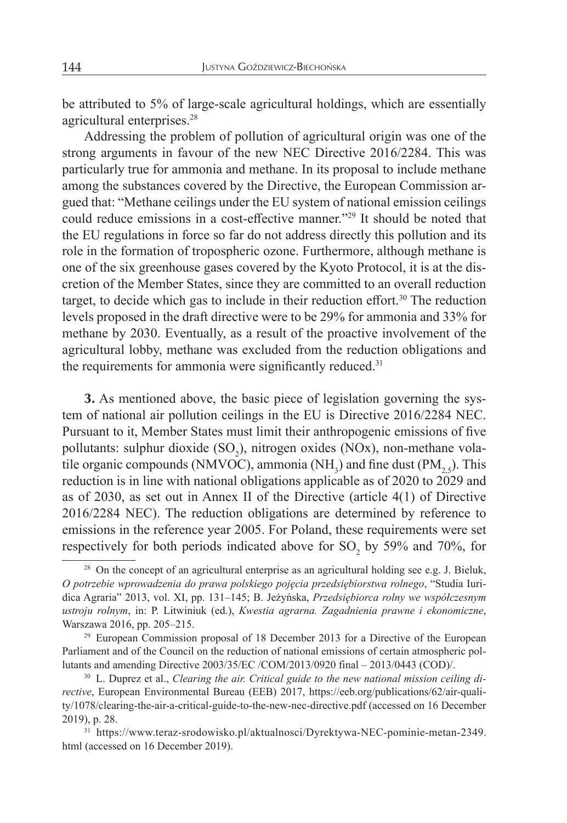be attributed to 5% of large-scale agricultural holdings, which are essentially agricultural enterprises.<sup>28</sup>

Addressing the problem of pollution of agricultural origin was one of the strong arguments in favour of the new NEC Directive 2016/2284. This was particularly true for ammonia and methane. In its proposal to include methane among the substances covered by the Directive, the European Commission argued that: "Methane ceilings under the EU system of national emission ceilings could reduce emissions in a cost-effective manner."29 It should be noted that the EU regulations in force so far do not address directly this pollution and its role in the formation of tropospheric ozone. Furthermore, although methane is one of the six greenhouse gases covered by the Kyoto Protocol, it is at the discretion of the Member States, since they are committed to an overall reduction target, to decide which gas to include in their reduction effort.<sup>30</sup> The reduction levels proposed in the draft directive were to be 29% for ammonia and 33% for methane by 2030. Eventually, as a result of the proactive involvement of the agricultural lobby, methane was excluded from the reduction obligations and the requirements for ammonia were significantly reduced.<sup>31</sup>

**3.** As mentioned above, the basic piece of legislation governing the system of national air pollution ceilings in the EU is Directive 2016/2284 NEC. Pursuant to it, Member States must limit their anthropogenic emissions of five pollutants: sulphur dioxide  $(SO_2)$ , nitrogen oxides (NOx), non-methane volatile organic compounds (NMVOC), ammonia (NH<sub>3</sub>) and fine dust (PM<sub>2,5</sub>). This reduction is in line with national obligations applicable as of 2020 to 2029 and as of 2030, as set out in Annex II of the Directive (article 4(1) of Directive 2016/2284 NEC). The reduction obligations are determined by reference to emissions in the reference year 2005. For Poland, these requirements were set respectively for both periods indicated above for SO<sub>2</sub> by 59% and 70%, for

<sup>&</sup>lt;sup>28</sup> On the concept of an agricultural enterprise as an agricultural holding see e.g. J. Bieluk, *O potrzebie wprowadzenia do prawa polskiego pojęcia przedsiębiorstwa rolnego*, "Studia Iuridica Agraria" 2013, vol. XI, pp. 131–145; B. Jeżyńska, *Przedsiębiorca rolny we współczesnym ustroju rolnym*, in: P. Litwiniuk (ed.), *Kwestia agrarna. Zagadnienia prawne i ekonomiczne*, Warszawa 2016, pp. 205–215.

<sup>&</sup>lt;sup>29</sup> European Commission proposal of 18 December 2013 for a Directive of the European Parliament and of the Council on the reduction of national emissions of certain atmospheric pollutants and amending Directive 2003/35/EC /COM/2013/0920 final – 2013/0443 (COD)/.

<sup>30</sup> L. Duprez et al., *Clearing the air. Critical guide to the new national mission ceiling directive*, European Environmental Bureau (EEB) 2017, https://eeb.org/publications/62/air-quality/1078/clearing-the-air-a-critical-guide-to-the-new-nec-directive.pdf (accessed on 16 December 2019), p. 28.

<sup>31</sup> https://www.teraz-srodowisko.pl/aktualnosci/Dyrektywa-NEC-pominie-metan-2349. html (accessed on 16 December 2019).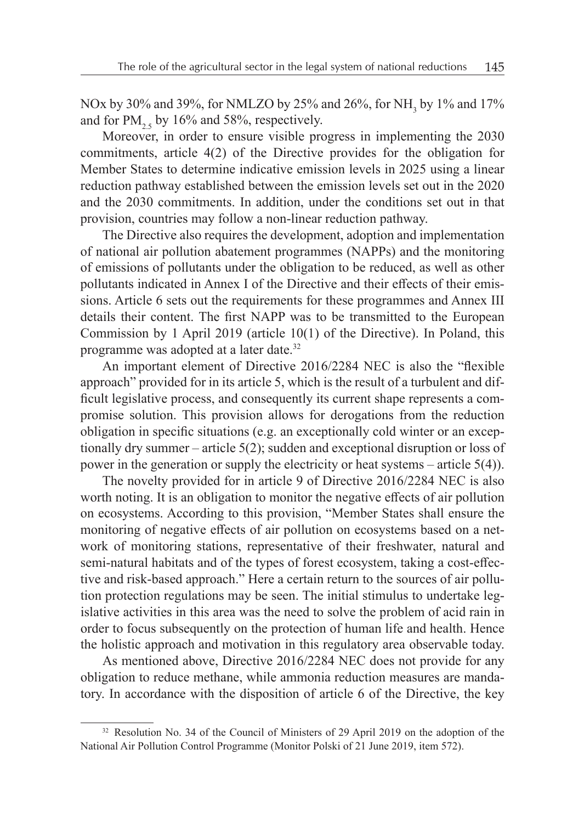NOx by 30% and 39%, for NMLZO by 25% and 26%, for NH, by 1% and 17% and for  $PM_{2.5}$  by 16% and 58%, respectively.

Moreover, in order to ensure visible progress in implementing the 2030 commitments, article 4(2) of the Directive provides for the obligation for Member States to determine indicative emission levels in 2025 using a linear reduction pathway established between the emission levels set out in the 2020 and the 2030 commitments. In addition, under the conditions set out in that provision, countries may follow a non-linear reduction pathway.

The Directive also requires the development, adoption and implementation of national air pollution abatement programmes (NAPPs) and the monitoring of emissions of pollutants under the obligation to be reduced, as well as other pollutants indicated in Annex I of the Directive and their effects of their emissions. Article 6 sets out the requirements for these programmes and Annex III details their content. The first NAPP was to be transmitted to the European Commission by 1 April 2019 (article 10(1) of the Directive). In Poland, this programme was adopted at a later date.<sup>32</sup>

An important element of Directive 2016/2284 NEC is also the "flexible approach" provided for in its article 5, which is the result of a turbulent and difficult legislative process, and consequently its current shape represents a compromise solution. This provision allows for derogations from the reduction obligation in specific situations (e.g. an exceptionally cold winter or an exceptionally dry summer – article 5(2); sudden and exceptional disruption or loss of power in the generation or supply the electricity or heat systems – article 5(4)).

The novelty provided for in article 9 of Directive 2016/2284 NEC is also worth noting. It is an obligation to monitor the negative effects of air pollution on ecosystems. According to this provision, "Member States shall ensure the monitoring of negative effects of air pollution on ecosystems based on a network of monitoring stations, representative of their freshwater, natural and semi-natural habitats and of the types of forest ecosystem, taking a cost-effective and risk-based approach." Here a certain return to the sources of air pollution protection regulations may be seen. The initial stimulus to undertake legislative activities in this area was the need to solve the problem of acid rain in order to focus subsequently on the protection of human life and health. Hence the holistic approach and motivation in this regulatory area observable today.

As mentioned above, Directive 2016/2284 NEC does not provide for any obligation to reduce methane, while ammonia reduction measures are mandatory. In accordance with the disposition of article 6 of the Directive, the key

<sup>&</sup>lt;sup>32</sup> Resolution No. 34 of the Council of Ministers of 29 April 2019 on the adoption of the National Air Pollution Control Programme (Monitor Polski of 21 June 2019, item 572).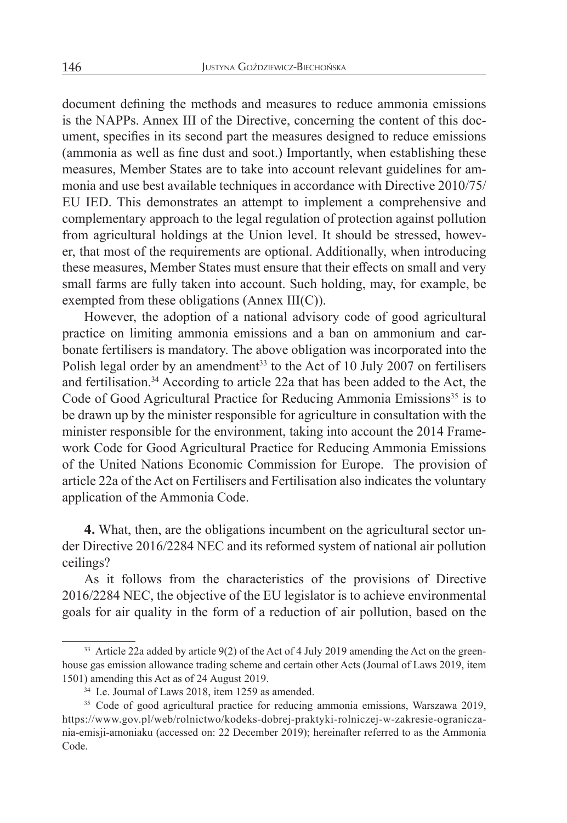document defining the methods and measures to reduce ammonia emissions is the NAPPs. Annex III of the Directive, concerning the content of this document, specifies in its second part the measures designed to reduce emissions (ammonia as well as fine dust and soot.) Importantly, when establishing these measures, Member States are to take into account relevant guidelines for ammonia and use best available techniques in accordance with Directive 2010/75/ EU IED. This demonstrates an attempt to implement a comprehensive and complementary approach to the legal regulation of protection against pollution from agricultural holdings at the Union level. It should be stressed, however, that most of the requirements are optional. Additionally, when introducing these measures, Member States must ensure that their effects on small and very small farms are fully taken into account. Such holding, may, for example, be exempted from these obligations (Annex III(C)).

However, the adoption of a national advisory code of good agricultural practice on limiting ammonia emissions and a ban on ammonium and carbonate fertilisers is mandatory. The above obligation was incorporated into the Polish legal order by an amendment<sup>33</sup> to the Act of 10 July 2007 on fertilisers and fertilisation.34 According to article 22a that has been added to the Act, the Code of Good Agricultural Practice for Reducing Ammonia Emissions<sup>35</sup> is to be drawn up by the minister responsible for agriculture in consultation with the minister responsible for the environment, taking into account the 2014 Framework Code for Good Agricultural Practice for Reducing Ammonia Emissions of the United Nations Economic Commission for Europe. The provision of article 22a of the Act on Fertilisers and Fertilisation also indicates the voluntary application of the Ammonia Code.

**4.** What, then, are the obligations incumbent on the agricultural sector under Directive 2016/2284 NEC and its reformed system of national air pollution ceilings?

As it follows from the characteristics of the provisions of Directive 2016/2284 NEC, the objective of the EU legislator is to achieve environmental goals for air quality in the form of a reduction of air pollution, based on the

 $33$  Article 22a added by article 9(2) of the Act of 4 July 2019 amending the Act on the greenhouse gas emission allowance trading scheme and certain other Acts (Journal of Laws 2019, item 1501) amending this Act as of 24 August 2019.

<sup>34</sup> I.e. Journal of Laws 2018, item 1259 as amended.

<sup>&</sup>lt;sup>35</sup> Code of good agricultural practice for reducing ammonia emissions, Warszawa 2019, https://www.gov.pl/web/rolnictwo/kodeks-dobrej-praktyki-rolniczej-w-zakresie-ograniczania-emisji-amoniaku (accessed on: 22 December 2019); hereinafter referred to as the Ammonia Code.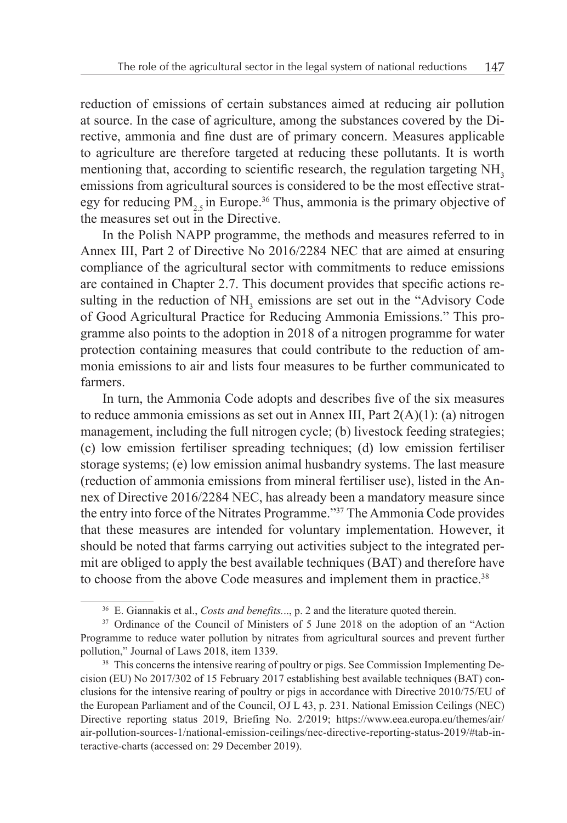reduction of emissions of certain substances aimed at reducing air pollution at source. In the case of agriculture, among the substances covered by the Directive, ammonia and fine dust are of primary concern. Measures applicable to agriculture are therefore targeted at reducing these pollutants. It is worth mentioning that, according to scientific research, the regulation targeting NH<sub>3</sub> emissions from agricultural sources is considered to be the most effective strategy for reducing  $PM_{2,5}$  in Europe.<sup>36</sup> Thus, ammonia is the primary objective of the measures set out in the Directive.

In the Polish NAPP programme, the methods and measures referred to in Annex III, Part 2 of Directive No 2016/2284 NEC that are aimed at ensuring compliance of the agricultural sector with commitments to reduce emissions are contained in Chapter 2.7. This document provides that specific actions resulting in the reduction of NH<sub>3</sub> emissions are set out in the "Advisory Code" of Good Agricultural Practice for Reducing Ammonia Emissions." This programme also points to the adoption in 2018 of a nitrogen programme for water protection containing measures that could contribute to the reduction of ammonia emissions to air and lists four measures to be further communicated to farmers.

In turn, the Ammonia Code adopts and describes five of the six measures to reduce ammonia emissions as set out in Annex III, Part 2(A)(1): (a) nitrogen management, including the full nitrogen cycle; (b) livestock feeding strategies; (c) low emission fertiliser spreading techniques; (d) low emission fertiliser storage systems; (e) low emission animal husbandry systems. The last measure (reduction of ammonia emissions from mineral fertiliser use), listed in the Annex of Directive 2016/2284 NEC, has already been a mandatory measure since the entry into force of the Nitrates Programme."37 The Ammonia Code provides that these measures are intended for voluntary implementation. However, it should be noted that farms carrying out activities subject to the integrated permit are obliged to apply the best available techniques (BAT) and therefore have to choose from the above Code measures and implement them in practice.<sup>38</sup>

<sup>36</sup> E. Giannakis et al., *Costs and benefits.*.., p. 2 and the literature quoted therein.

<sup>&</sup>lt;sup>37</sup> Ordinance of the Council of Ministers of 5 June 2018 on the adoption of an "Action Programme to reduce water pollution by nitrates from agricultural sources and prevent further pollution," Journal of Laws 2018, item 1339.

<sup>&</sup>lt;sup>38</sup> This concerns the intensive rearing of poultry or pigs. See Commission Implementing Decision (EU) No 2017/302 of 15 February 2017 establishing best available techniques (BAT) conclusions for the intensive rearing of poultry or pigs in accordance with Directive 2010/75/EU of the European Parliament and of the Council, OJ L 43, p. 231. National Emission Ceilings (NEC) Directive reporting status 2019, Briefing No. 2/2019; https://www.eea.europa.eu/themes/air/ air-pollution-sources-1/national-emission-ceilings/nec-directive-reporting-status-2019/#tab-interactive-charts (accessed on: 29 December 2019).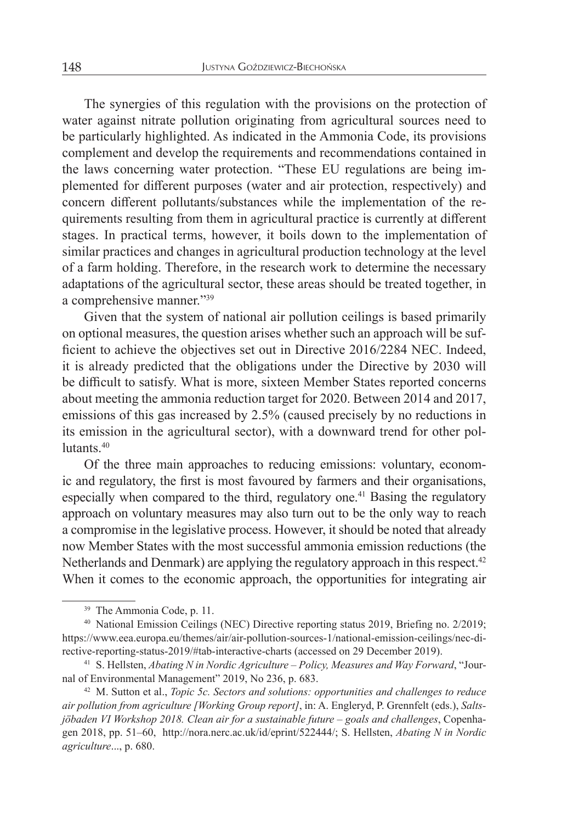The synergies of this regulation with the provisions on the protection of water against nitrate pollution originating from agricultural sources need to be particularly highlighted. As indicated in the Ammonia Code, its provisions complement and develop the requirements and recommendations contained in the laws concerning water protection. "These EU regulations are being implemented for different purposes (water and air protection, respectively) and concern different pollutants/substances while the implementation of the requirements resulting from them in agricultural practice is currently at different stages. In practical terms, however, it boils down to the implementation of similar practices and changes in agricultural production technology at the level of a farm holding. Therefore, in the research work to determine the necessary adaptations of the agricultural sector, these areas should be treated together, in a comprehensive manner."39

Given that the system of national air pollution ceilings is based primarily on optional measures, the question arises whether such an approach will be sufficient to achieve the objectives set out in Directive 2016/2284 NEC. Indeed, it is already predicted that the obligations under the Directive by 2030 will be difficult to satisfy. What is more, sixteen Member States reported concerns about meeting the ammonia reduction target for 2020. Between 2014 and 2017, emissions of this gas increased by 2.5% (caused precisely by no reductions in its emission in the agricultural sector), with a downward trend for other pollutants.40

Of the three main approaches to reducing emissions: voluntary, economic and regulatory, the first is most favoured by farmers and their organisations, especially when compared to the third, regulatory one.<sup>41</sup> Basing the regulatory approach on voluntary measures may also turn out to be the only way to reach a compromise in the legislative process. However, it should be noted that already now Member States with the most successful ammonia emission reductions (the Netherlands and Denmark) are applying the regulatory approach in this respect.<sup>42</sup> When it comes to the economic approach, the opportunities for integrating air

<sup>39</sup> The Ammonia Code, p. 11.

<sup>&</sup>lt;sup>40</sup> National Emission Ceilings (NEC) Directive reporting status 2019, Briefing no. 2/2019; https://www.eea.europa.eu/themes/air/air-pollution-sources-1/national-emission-ceilings/nec-directive-reporting-status-2019/#tab-interactive-charts (accessed on 29 December 2019).

<sup>41</sup> S. Hellsten, *Abating N in Nordic Agriculture – Policy, Measures and Way Forward*, "Journal of Environmental Management" 2019, No 236, p. 683.

<sup>42</sup> M. Sutton et al., *Topic 5c. Sectors and solutions: opportunities and challenges to reduce air pollution from agriculture [Working Group report]*, in: A. Engleryd, P. Grennfelt (eds.), *Saltsjöbaden VI Workshop 2018. Clean air for a sustainable future – goals and challenges*, Copenhagen 2018, pp. 51–60, http://nora.nerc.ac.uk/id/eprint/522444/; S. Hellsten, *Abating N in Nordic agriculture*..., p. 680.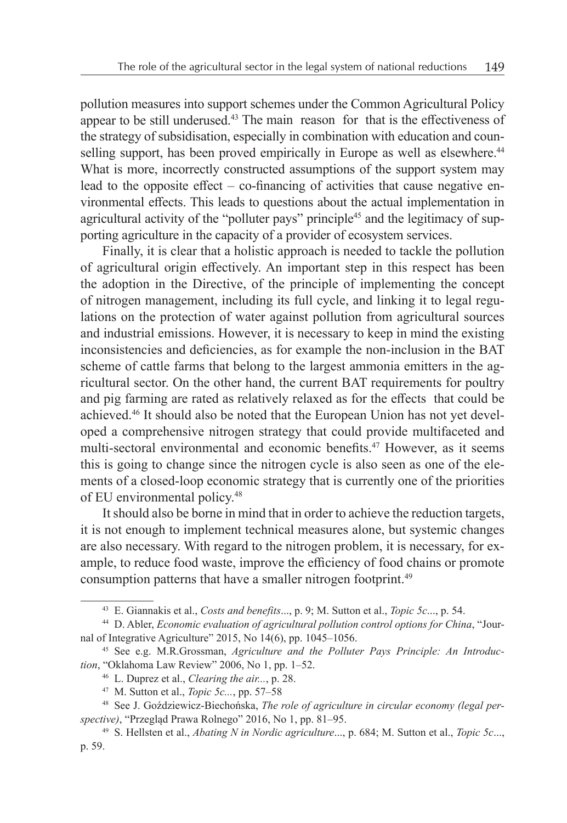pollution measures into support schemes under the Common Agricultural Policy appear to be still underused.43 The main reason for that is the effectiveness of the strategy of subsidisation, especially in combination with education and counselling support, has been proved empirically in Europe as well as elsewhere.<sup>44</sup> What is more, incorrectly constructed assumptions of the support system may lead to the opposite effect – co-financing of activities that cause negative environmental effects. This leads to questions about the actual implementation in agricultural activity of the "polluter pays" principle<sup>45</sup> and the legitimacy of supporting agriculture in the capacity of a provider of ecosystem services.

Finally, it is clear that a holistic approach is needed to tackle the pollution of agricultural origin effectively. An important step in this respect has been the adoption in the Directive, of the principle of implementing the concept of nitrogen management, including its full cycle, and linking it to legal regulations on the protection of water against pollution from agricultural sources and industrial emissions. However, it is necessary to keep in mind the existing inconsistencies and deficiencies, as for example the non-inclusion in the BAT scheme of cattle farms that belong to the largest ammonia emitters in the agricultural sector. On the other hand, the current BAT requirements for poultry and pig farming are rated as relatively relaxed as for the effects that could be achieved.46 It should also be noted that the European Union has not yet developed a comprehensive nitrogen strategy that could provide multifaceted and multi-sectoral environmental and economic benefits.47 However, as it seems this is going to change since the nitrogen cycle is also seen as one of the elements of a closed-loop economic strategy that is currently one of the priorities of EU environmental policy.48

It should also be borne in mind that in order to achieve the reduction targets, it is not enough to implement technical measures alone, but systemic changes are also necessary. With regard to the nitrogen problem, it is necessary, for example, to reduce food waste, improve the efficiency of food chains or promote consumption patterns that have a smaller nitrogen footprint.<sup>49</sup>

<sup>43</sup> E. Giannakis et al., *Costs and benefits*..., p. 9; M. Sutton et al., *Topic 5c*..., p. 54.

<sup>44</sup> D. Abler, *Economic evaluation of agricultural pollution control options for China*, "Journal of Integrative Agriculture" 2015, No 14(6), pp. 1045–1056.

<sup>45</sup> See e.g. M.R.Grossman, *Agriculture and the Polluter Pays Principle: An Introduction*, "Oklahoma Law Review" 2006, No 1, pp. 1–52.

<sup>46</sup> L. Duprez et al., *Clearing the air...*, p. 28.

<sup>47</sup> M. Sutton et al., *Topic 5c...*, pp. 57–58

<sup>48</sup> See J. Goździewicz-Biechońska, *The role of agriculture in circular economy (legal perspective)*, "Przegląd Prawa Rolnego" 2016, No 1, pp. 81–95.

<sup>49</sup> S. Hellsten et al., *Abating N in Nordic agriculture*..., p. 684; M. Sutton et al., *Topic 5c*..., p. 59.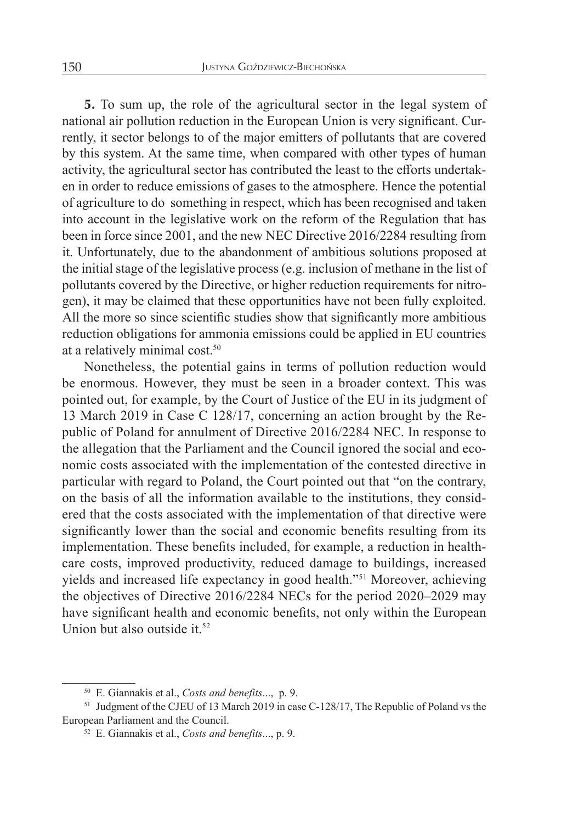**5.** To sum up, the role of the agricultural sector in the legal system of national air pollution reduction in the European Union is very significant. Currently, it sector belongs to of the major emitters of pollutants that are covered by this system. At the same time, when compared with other types of human activity, the agricultural sector has contributed the least to the efforts undertaken in order to reduce emissions of gases to the atmosphere. Hence the potential of agriculture to do something in respect, which has been recognised and taken into account in the legislative work on the reform of the Regulation that has been in force since 2001, and the new NEC Directive 2016/2284 resulting from it. Unfortunately, due to the abandonment of ambitious solutions proposed at the initial stage of the legislative process (e.g. inclusion of methane in the list of pollutants covered by the Directive, or higher reduction requirements for nitrogen), it may be claimed that these opportunities have not been fully exploited. All the more so since scientific studies show that significantly more ambitious reduction obligations for ammonia emissions could be applied in EU countries at a relatively minimal cost.50

Nonetheless, the potential gains in terms of pollution reduction would be enormous. However, they must be seen in a broader context. This was pointed out, for example, by the Court of Justice of the EU in its judgment of 13 March 2019 in Case C 128/17, concerning an action brought by the Republic of Poland for annulment of Directive 2016/2284 NEC. In response to the allegation that the Parliament and the Council ignored the social and economic costs associated with the implementation of the contested directive in particular with regard to Poland, the Court pointed out that "on the contrary, on the basis of all the information available to the institutions, they considered that the costs associated with the implementation of that directive were significantly lower than the social and economic benefits resulting from its implementation. These benefits included, for example, a reduction in healthcare costs, improved productivity, reduced damage to buildings, increased yields and increased life expectancy in good health."51 Moreover, achieving the objectives of Directive 2016/2284 NECs for the period 2020–2029 may have significant health and economic benefits, not only within the European Union but also outside it.<sup>52</sup>

<sup>50</sup> E. Giannakis et al., *Costs and benefits*..., p. 9.

<sup>&</sup>lt;sup>51</sup> Judgment of the CJEU of 13 March 2019 in case C-128/17, The Republic of Poland vs the European Parliament and the Council.

<sup>52</sup> E. Giannakis et al., *Costs and benefits*..., p. 9.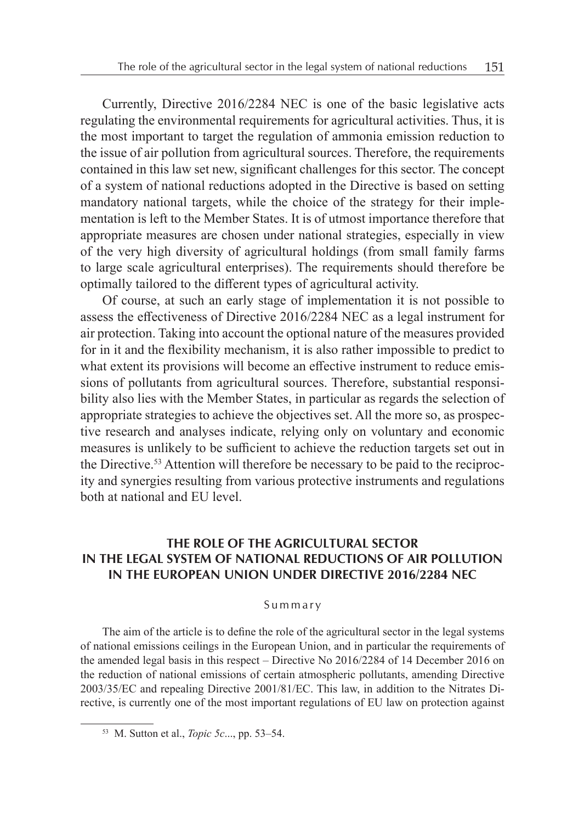Currently, Directive 2016/2284 NEC is one of the basic legislative acts regulating the environmental requirements for agricultural activities. Thus, it is the most important to target the regulation of ammonia emission reduction to the issue of air pollution from agricultural sources. Therefore, the requirements contained in this law set new, significant challenges for this sector. The concept of a system of national reductions adopted in the Directive is based on setting mandatory national targets, while the choice of the strategy for their implementation is left to the Member States. It is of utmost importance therefore that appropriate measures are chosen under national strategies, especially in view of the very high diversity of agricultural holdings (from small family farms to large scale agricultural enterprises). The requirements should therefore be optimally tailored to the different types of agricultural activity.

Of course, at such an early stage of implementation it is not possible to assess the effectiveness of Directive 2016/2284 NEC as a legal instrument for air protection. Taking into account the optional nature of the measures provided for in it and the flexibility mechanism, it is also rather impossible to predict to what extent its provisions will become an effective instrument to reduce emissions of pollutants from agricultural sources. Therefore, substantial responsibility also lies with the Member States, in particular as regards the selection of appropriate strategies to achieve the objectives set. All the more so, as prospective research and analyses indicate, relying only on voluntary and economic measures is unlikely to be sufficient to achieve the reduction targets set out in the Directive.<sup>53</sup> Attention will therefore be necessary to be paid to the reciprocity and synergies resulting from various protective instruments and regulations both at national and EU level.

## **THE ROLE OF THE AGRICULTURAL SECTOR IN THE LEGAL SYSTEM OF NATIONAL REDUCTIONS OF AIR POLLUTION IN THE EUROPEAN UNION UNDER DIRECTIVE 2016/2284 NEC**

#### Summary

The aim of the article is to define the role of the agricultural sector in the legal systems of national emissions ceilings in the European Union, and in particular the requirements of the amended legal basis in this respect – Directive No 2016/2284 of 14 December 2016 on the reduction of national emissions of certain atmospheric pollutants, amending Directive 2003/35/EC and repealing Directive 2001/81/EC. This law, in addition to the Nitrates Directive, is currently one of the most important regulations of EU law on protection against

<sup>53</sup> M. Sutton et al., *Topic 5c*..., pp. 53–54.